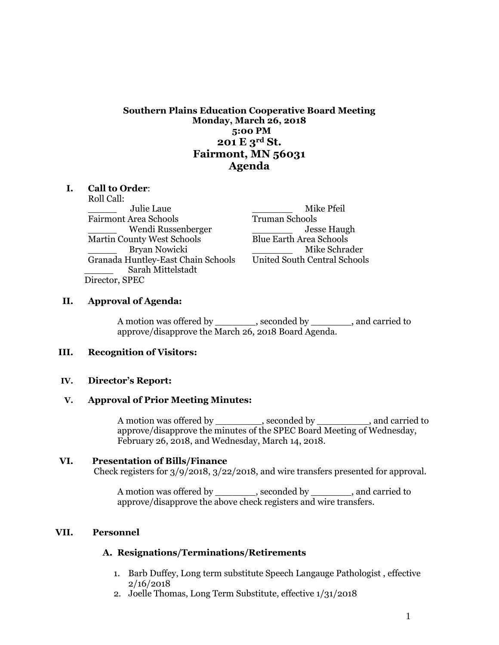**Southern Plains Education Cooperative Board Meeting Monday, March 26, 2018 5:00 PM 201 E 3rd St. Fairmont, MN 56031 Agenda**

#### **I. Call to Order**:

Roll Call: \_\_\_\_\_ Julie Laue \_\_\_\_\_\_\_ Mike Pfeil Fairmont Area Schools Wendi Russenberger  $\qquad \qquad$  Jesse Haugh Martin County West Schools Blue Earth Area Schools Granada Huntley-East Chain Schools United South Central Schools \_\_\_\_\_ Sarah Mittelstadt Director, SPEC

\_\_\_\_\_ Bryan Nowicki \_\_\_\_\_\_\_ Mike Schrader

#### **II. Approval of Agenda:**

A motion was offered by \_\_\_\_\_\_\_, seconded by \_\_\_\_\_\_\_, and carried to approve/disapprove the March 26, 2018 Board Agenda.

### **III. Recognition of Visitors:**

#### **IV. Director's Report:**

#### **V. Approval of Prior Meeting Minutes:**

A motion was offered by \_\_\_\_\_\_\_\_, seconded by \_\_\_\_\_\_\_\_\_, and carried to approve/disapprove the minutes of the SPEC Board Meeting of Wednesday, February 26, 2018, and Wednesday, March 14, 2018.

### **VI. Presentation of Bills/Finance**

Check registers for 3/9/2018, 3/22/2018, and wire transfers presented for approval.

A motion was offered by \_\_\_\_\_\_\_, seconded by \_\_\_\_\_\_\_, and carried to approve/disapprove the above check registers and wire transfers.

#### **VII. Personnel**

#### **A. Resignations/Terminations/Retirements**

- 1. Barb Duffey, Long term substitute Speech Langauge Pathologist , effective 2/16/2018
- 2. Joelle Thomas, Long Term Substitute, effective 1/31/2018